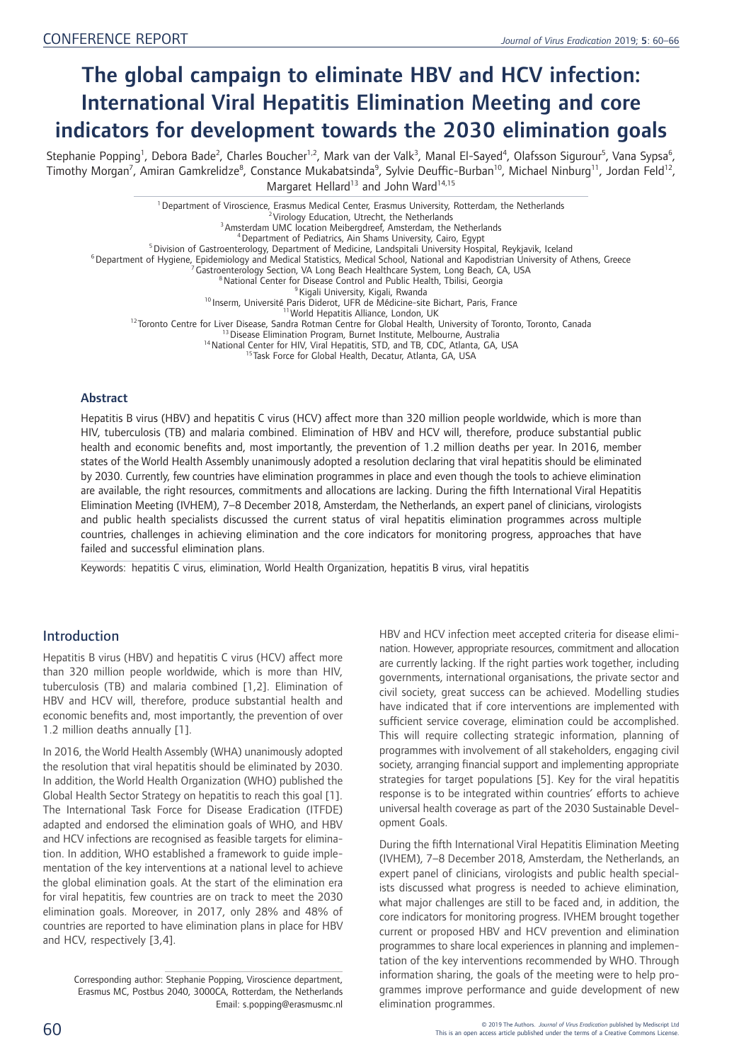# The global campaign to eliminate HBV and HCV infection: International Viral Hepatitis Elimination Meeting and core indicators for development towards the 2030 elimination goals

Stephanie Popping<sup>1</sup>, Debora Bade<sup>2</sup>, Charles Boucher<sup>1,2</sup>, Mark van der Valk<sup>3</sup>, Manal El-Sayed<sup>4</sup>, Olafsson Sigurour<sup>5</sup>, Vana Sypsa<sup>6</sup>, Timothy Morgan<sup>7</sup>, Amiran Gamkrelidze<sup>8</sup>, Constance Mukabatsinda<sup>9</sup>, Sylvie Deuffic-Burban<sup>10</sup>, Michael Ninburg<sup>11</sup>, Jordan Feld<sup>12</sup>, Margaret Hellard<sup>13</sup> and John Ward<sup>14,15</sup>

<sup>1</sup> Department of Viroscience, Erasmus Medical Center, Erasmus University, Rotterdam, the Netherlands<br><sup>2</sup> Virology Education, Utrecht, the Netherlands<br><sup>3</sup> Amsterdam UMC location Meibergdreef, Amsterdam, the Netherlands<br><sup>4</sup> <sup>12</sup> Toronto Centre for Liver Disease, Sandan Public Health. Thilisi, Georgia<br><sup>10</sup> Inserm, University Pais: Didenter of Disease Control and Public Health, Tbilisi, Georgia<br><sup>9</sup> Kigali University, Kigali, Rwanda<br><sup>10</sup> Inserm,

## Abstract

Hepatitis B virus (HBV) and hepatitis C virus (HCV) affect more than 320 million people worldwide, which is more than HIV, tuberculosis (TB) and malaria combined. Elimination of HBV and HCV will, therefore, produce substantial public health and economic benefits and, most importantly, the prevention of 1.2 million deaths per year. In 2016, member states of the World Health Assembly unanimously adopted a resolution declaring that viral hepatitis should be eliminated by 2030. Currently, few countries have elimination programmes in place and even though the tools to achieve elimination are available, the right resources, commitments and allocations are lacking. During the fifth International Viral Hepatitis Elimination Meeting (IVHEM), 7–8 December 2018, Amsterdam, the Netherlands, an expert panel of clinicians, virologists and public health specialists discussed the current status of viral hepatitis elimination programmes across multiple countries, challenges in achieving elimination and the core indicators for monitoring progress, approaches that have failed and successful elimination plans.

Keywords: hepatitis C virus, elimination, World Health Organization, hepatitis B virus, viral hepatitis

# Introduction

Hepatitis B virus (HBV) and hepatitis C virus (HCV) affect more than 320 million people worldwide, which is more than HIV, tuberculosis (TB) and malaria combined [1,2]. Elimination of HBV and HCV will, therefore, produce substantial health and economic benefits and, most importantly, the prevention of over 1.2 million deaths annually [1].

In 2016, the World Health Assembly (WHA) unanimously adopted the resolution that viral hepatitis should be eliminated by 2030. In addition, the World Health Organization (WHO) published the Global Health Sector Strategy on hepatitis to reach this goal [1]. The International Task Force for Disease Eradication (ITFDE) adapted and endorsed the elimination goals of WHO, and HBV and HCV infections are recognised as feasible targets for elimination. In addition, WHO established a framework to guide implementation of the key interventions at a national level to achieve the global elimination goals. At the start of the elimination era for viral hepatitis, few countries are on track to meet the 2030 elimination goals. Moreover, in 2017, only 28% and 48% of countries are reported to have elimination plans in place for HBV and HCV, respectively [3,4].

HBV and HCV infection meet accepted criteria for disease elimination. However, appropriate resources, commitment and allocation are currently lacking. If the right parties work together, including governments, international organisations, the private sector and civil society, great success can be achieved. Modelling studies have indicated that if core interventions are implemented with sufficient service coverage, elimination could be accomplished. This will require collecting strategic information, planning of programmes with involvement of all stakeholders, engaging civil society, arranging financial support and implementing appropriate strategies for target populations [5]. Key for the viral hepatitis response is to be integrated within countries' efforts to achieve universal health coverage as part of the 2030 Sustainable Development Goals.

During the fifth International Viral Hepatitis Elimination Meeting (IVHEM), 7–8 December 2018, Amsterdam, the Netherlands, an expert panel of clinicians, virologists and public health specialists discussed what progress is needed to achieve elimination, what major challenges are still to be faced and, in addition, the core indicators for monitoring progress. IVHEM brought together current or proposed HBV and HCV prevention and elimination programmes to share local experiences in planning and implementation of the key interventions recommended by WHO. Through information sharing, the goals of the meeting were to help programmes improve performance and guide development of new elimination programmes.

Corresponding author: Stephanie Popping, Viroscience department, Erasmus MC, Postbus 2040, 3000CA, Rotterdam, the Netherlands Email: s.popping@erasmusmc.nl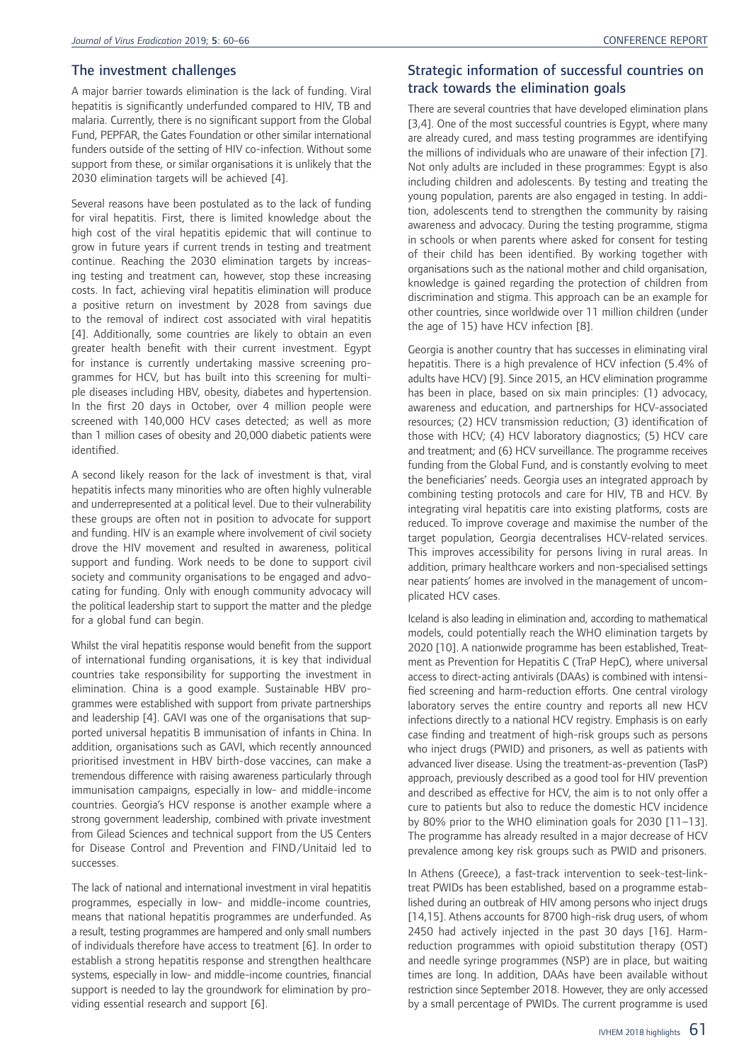## The investment challenges

A major barrier towards elimination is the lack of funding. Viral hepatitis is significantly underfunded compared to HIV, TB and malaria. Currently, there is no significant support from the Global Fund, PEPFAR, the Gates Foundation or other similar international funders outside of the setting of HIV co-infection. Without some support from these, or similar organisations it is unlikely that the 2030 elimination targets will be achieved [4].

Several reasons have been postulated as to the lack of funding for viral hepatitis. First, there is limited knowledge about the high cost of the viral hepatitis epidemic that will continue to grow in future years if current trends in testing and treatment continue. Reaching the 2030 elimination targets by increasing testing and treatment can, however, stop these increasing costs. In fact, achieving viral hepatitis elimination will produce a positive return on investment by 2028 from savings due to the removal of indirect cost associated with viral hepatitis [4]. Additionally, some countries are likely to obtain an even greater health benefit with their current investment. Egypt for instance is currently undertaking massive screening programmes for HCV, but has built into this screening for multiple diseases including HBV, obesity, diabetes and hypertension. In the first 20 days in October, over 4 million people were screened with 140,000 HCV cases detected; as well as more than 1 million cases of obesity and 20,000 diabetic patients were identified.

A second likely reason for the lack of investment is that, viral hepatitis infects many minorities who are often highly vulnerable and underrepresented at a political level. Due to their vulnerability these groups are often not in position to advocate for support and funding. HIV is an example where involvement of civil society drove the HIV movement and resulted in awareness, political support and funding. Work needs to be done to support civil society and community organisations to be engaged and advocating for funding. Only with enough community advocacy will the political leadership start to support the matter and the pledge for a global fund can begin.

Whilst the viral hepatitis response would benefit from the support of international funding organisations, it is key that individual countries take responsibility for supporting the investment in elimination. China is a good example. Sustainable HBV programmes were established with support from private partnerships and leadership [4]. GAVI was one of the organisations that supported universal hepatitis B immunisation of infants in China. In addition, organisations such as GAVI, which recently announced prioritised investment in HBV birth-dose vaccines, can make a tremendous difference with raising awareness particularly through immunisation campaigns, especially in low- and middle-income countries. Georgia's HCV response is another example where a strong government leadership, combined with private investment from Gilead Sciences and technical support from the US Centers for Disease Control and Prevention and FIND/Unitaid led to successes.

The lack of national and international investment in viral hepatitis programmes, especially in low- and middle-income countries, means that national hepatitis programmes are underfunded. As a result, testing programmes are hampered and only small numbers of individuals therefore have access to treatment [6]. In order to establish a strong hepatitis response and strengthen healthcare systems, especially in low- and middle-income countries, financial support is needed to lay the groundwork for elimination by providing essential research and support [6].

# Strategic information of successful countries on track towards the elimination goals

There are several countries that have developed elimination plans [3,4]. One of the most successful countries is Egypt, where many are already cured, and mass testing programmes are identifying the millions of individuals who are unaware of their infection [7]. Not only adults are included in these programmes: Egypt is also including children and adolescents. By testing and treating the young population, parents are also engaged in testing. In addition, adolescents tend to strengthen the community by raising awareness and advocacy. During the testing programme, stigma in schools or when parents where asked for consent for testing of their child has been identified. By working together with organisations such as the national mother and child organisation, knowledge is gained regarding the protection of children from discrimination and stigma. This approach can be an example for other countries, since worldwide over 11 million children (under the age of 15) have HCV infection [8].

Georgia is another country that has successes in eliminating viral hepatitis. There is a high prevalence of HCV infection (5.4% of adults have HCV) [9]. Since 2015, an HCV elimination programme has been in place, based on six main principles: (1) advocacy, awareness and education, and partnerships for HCV-associated resources; (2) HCV transmission reduction; (3) identification of those with HCV; (4) HCV laboratory diagnostics; (5) HCV care and treatment; and (6) HCV surveillance. The programme receives funding from the Global Fund, and is constantly evolving to meet the beneficiaries' needs. Georgia uses an integrated approach by combining testing protocols and care for HIV, TB and HCV. By integrating viral hepatitis care into existing platforms, costs are reduced. To improve coverage and maximise the number of the target population, Georgia decentralises HCV-related services. This improves accessibility for persons living in rural areas. In addition, primary healthcare workers and non-specialised settings near patients' homes are involved in the management of uncomplicated HCV cases.

Iceland is also leading in elimination and, according to mathematical models, could potentially reach the WHO elimination targets by 2020 [10]. A nationwide programme has been established, Treatment as Prevention for Hepatitis C (TraP HepC), where universal access to direct-acting antivirals (DAAs) is combined with intensified screening and harm-reduction efforts. One central virology laboratory serves the entire country and reports all new HCV infections directly to a national HCV registry. Emphasis is on early case finding and treatment of high-risk groups such as persons who inject drugs (PWID) and prisoners, as well as patients with advanced liver disease. Using the treatment-as-prevention (TasP) approach, previously described as a good tool for HIV prevention and described as effective for HCV, the aim is to not only offer a cure to patients but also to reduce the domestic HCV incidence by 80% prior to the WHO elimination goals for 2030 [11–13]. The programme has already resulted in a major decrease of HCV prevalence among key risk groups such as PWID and prisoners.

In Athens (Greece), a fast-track intervention to seek-test-linktreat PWIDs has been established, based on a programme established during an outbreak of HIV among persons who inject drugs [14,15]. Athens accounts for 8700 high-risk drug users, of whom 2450 had actively injected in the past 30 days [16]. Harmreduction programmes with opioid substitution therapy (OST) and needle syringe programmes (NSP) are in place, but waiting times are long. In addition, DAAs have been available without restriction since September 2018. However, they are only accessed by a small percentage of PWIDs. The current programme is used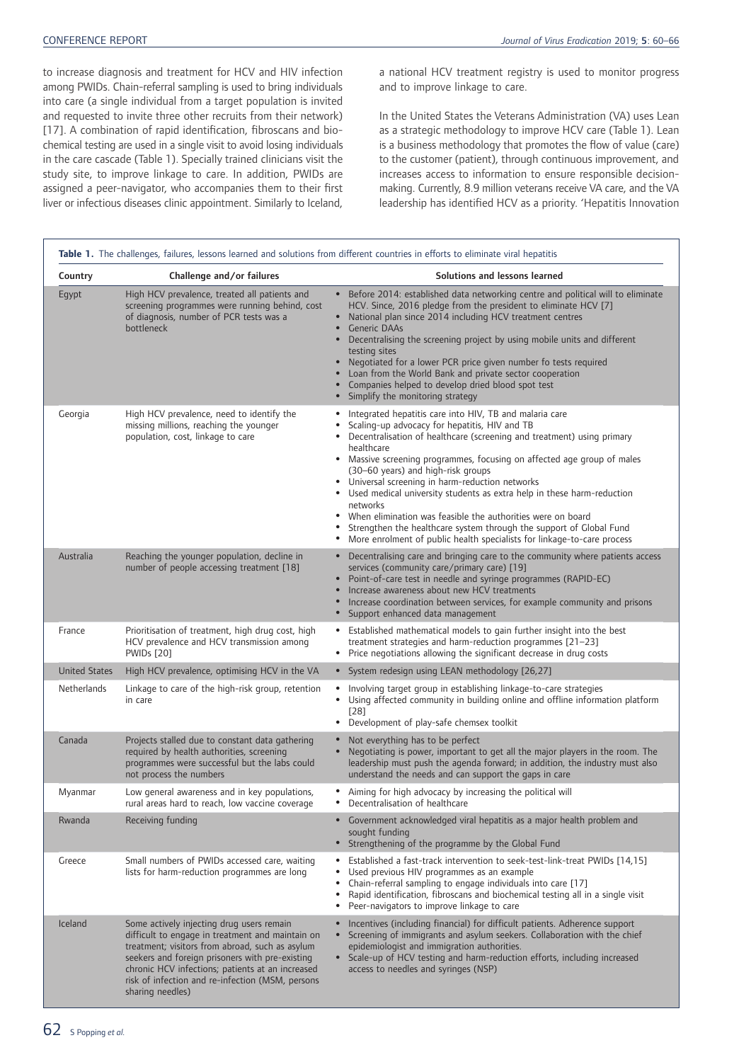to increase diagnosis and treatment for HCV and HIV infection among PWIDs. Chain-referral sampling is used to bring individuals into care (a single individual from a target population is invited and requested to invite three other recruits from their network) [17]. A combination of rapid identification, fibroscans and biochemical testing are used in a single visit to avoid losing individuals in the care cascade (Table 1). Specially trained clinicians visit the study site, to improve linkage to care. In addition, PWIDs are assigned a peer-navigator, who accompanies them to their first liver or infectious diseases clinic appointment. Similarly to Iceland, a national HCV treatment registry is used to monitor progress and to improve linkage to care.

In the United States the Veterans Administration (VA) uses Lean as a strategic methodology to improve HCV care (Table 1). Lean is a business methodology that promotes the flow of value (care) to the customer (patient), through continuous improvement, and increases access to information to ensure responsible decisionmaking. Currently, 8.9 million veterans receive VA care, and the VA leadership has identified HCV as a priority. 'Hepatitis Innovation

|                      |                                                                                                                                                                                                                                                                                                                                 | Table 1. The challenges, failures, lessons learned and solutions from different countries in efforts to eliminate viral hepatitis                                                                                                                                                                                                                                                                                                                                                                                                                                                                                                                                          |
|----------------------|---------------------------------------------------------------------------------------------------------------------------------------------------------------------------------------------------------------------------------------------------------------------------------------------------------------------------------|----------------------------------------------------------------------------------------------------------------------------------------------------------------------------------------------------------------------------------------------------------------------------------------------------------------------------------------------------------------------------------------------------------------------------------------------------------------------------------------------------------------------------------------------------------------------------------------------------------------------------------------------------------------------------|
| Country              | Challenge and/or failures                                                                                                                                                                                                                                                                                                       | Solutions and lessons learned                                                                                                                                                                                                                                                                                                                                                                                                                                                                                                                                                                                                                                              |
| Egypt                | High HCV prevalence, treated all patients and<br>screening programmes were running behind, cost<br>of diagnosis, number of PCR tests was a<br>bottleneck                                                                                                                                                                        | Before 2014: established data networking centre and political will to eliminate<br>$\bullet$<br>HCV. Since, 2016 pledge from the president to eliminate HCV [7]<br>National plan since 2014 including HCV treatment centres<br>$\bullet$<br>Generic DAAs<br>$\bullet$<br>Decentralising the screening project by using mobile units and different<br>testing sites<br>Negotiated for a lower PCR price given number fo tests required<br>Loan from the World Bank and private sector cooperation<br>Companies helped to develop dried blood spot test<br>Simplify the monitoring strategy                                                                                  |
| Georgia              | High HCV prevalence, need to identify the<br>missing millions, reaching the younger<br>population, cost, linkage to care                                                                                                                                                                                                        | Integrated hepatitis care into HIV, TB and malaria care<br>Scaling-up advocacy for hepatitis, HIV and TB<br>Decentralisation of healthcare (screening and treatment) using primary<br>healthcare<br>• Massive screening programmes, focusing on affected age group of males<br>(30-60 years) and high-risk groups<br>Universal screening in harm-reduction networks<br>Used medical university students as extra help in these harm-reduction<br>networks<br>When elimination was feasible the authorities were on board<br>Strengthen the healthcare system through the support of Global Fund<br>More enrolment of public health specialists for linkage-to-care process |
| Australia            | Reaching the younger population, decline in<br>number of people accessing treatment [18]                                                                                                                                                                                                                                        | Decentralising care and bringing care to the community where patients access<br>$\bullet$<br>services (community care/primary care) [19]<br>Point-of-care test in needle and syringe programmes (RAPID-EC)<br>Increase awareness about new HCV treatments<br>$\bullet$<br>Increase coordination between services, for example community and prisons<br>Support enhanced data management                                                                                                                                                                                                                                                                                    |
| France               | Prioritisation of treatment, high drug cost, high<br>HCV prevalence and HCV transmission among<br><b>PWIDs</b> [20]                                                                                                                                                                                                             | Established mathematical models to gain further insight into the best<br>$\bullet$<br>treatment strategies and harm-reduction programmes [21-23]<br>Price negotiations allowing the significant decrease in drug costs<br>$\bullet$                                                                                                                                                                                                                                                                                                                                                                                                                                        |
| <b>United States</b> | High HCV prevalence, optimising HCV in the VA                                                                                                                                                                                                                                                                                   | • System redesign using LEAN methodology [26,27]                                                                                                                                                                                                                                                                                                                                                                                                                                                                                                                                                                                                                           |
| Netherlands          | Linkage to care of the high-risk group, retention<br>in care                                                                                                                                                                                                                                                                    | Involving target group in establishing linkage-to-care strategies<br>٠<br>Using affected community in building online and offline information platform<br>$\bullet$<br>$[28]$<br>Development of play-safe chemsex toolkit<br>$\bullet$                                                                                                                                                                                                                                                                                                                                                                                                                                     |
| Canada               | Projects stalled due to constant data gathering<br>required by health authorities, screening<br>programmes were successful but the labs could<br>not process the numbers                                                                                                                                                        | Not everything has to be perfect<br>$\bullet$<br>Negotiating is power, important to get all the major players in the room. The<br>$\bullet$<br>leadership must push the agenda forward; in addition, the industry must also<br>understand the needs and can support the gaps in care                                                                                                                                                                                                                                                                                                                                                                                       |
| Myanmar              | Low general awareness and in key populations,<br>rural areas hard to reach, low vaccine coverage                                                                                                                                                                                                                                | Aiming for high advocacy by increasing the political will<br>Decentralisation of healthcare<br>$\bullet$                                                                                                                                                                                                                                                                                                                                                                                                                                                                                                                                                                   |
| Rwanda               | Receiving funding                                                                                                                                                                                                                                                                                                               | Government acknowledged viral hepatitis as a major health problem and<br>sought funding<br>Strengthening of the programme by the Global Fund                                                                                                                                                                                                                                                                                                                                                                                                                                                                                                                               |
| Greece               | Small numbers of PWIDs accessed care, waiting<br>lists for harm-reduction programmes are long                                                                                                                                                                                                                                   | Established a fast-track intervention to seek-test-link-treat PWIDs [14,15]<br>Used previous HIV programmes as an example<br>$\bullet$<br>Chain-referral sampling to engage individuals into care [17]<br>$\bullet$<br>Rapid identification, fibroscans and biochemical testing all in a single visit<br>$\bullet$<br>Peer-navigators to improve linkage to care<br>٠                                                                                                                                                                                                                                                                                                      |
| Iceland              | Some actively injecting drug users remain<br>difficult to engage in treatment and maintain on<br>treatment; visitors from abroad, such as asylum<br>seekers and foreign prisoners with pre-existing<br>chronic HCV infections; patients at an increased<br>risk of infection and re-infection (MSM, persons<br>sharing needles) | Incentives (including financial) for difficult patients. Adherence support<br>Screening of immigrants and asylum seekers. Collaboration with the chief<br>$\bullet$<br>epidemiologist and immigration authorities.<br>• Scale-up of HCV testing and harm-reduction efforts, including increased<br>access to needles and syringes (NSP)                                                                                                                                                                                                                                                                                                                                    |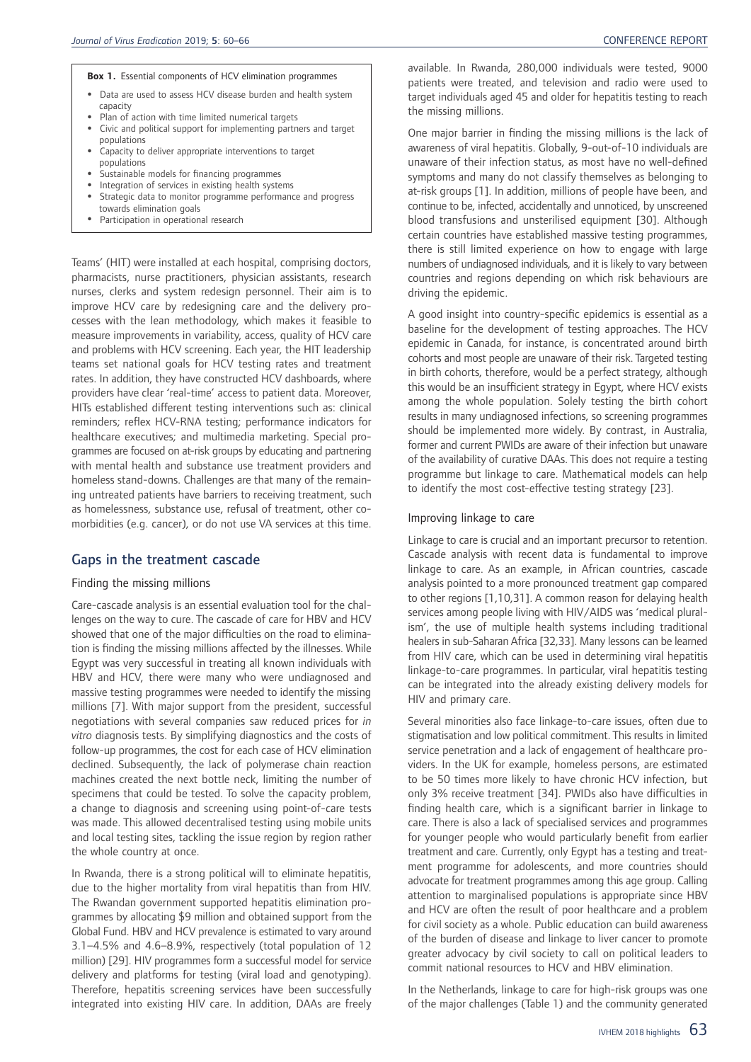#### **Box 1.** Essential components of HCV elimination programmes

- Data are used to assess HCV disease burden and health system capacity
- Plan of action with time limited numerical targets
- Civic and political support for implementing partners and target populations
- Capacity to deliver appropriate interventions to target populations
- Sustainable models for financing programmes
- Integration of services in existing health systems • Strategic data to monitor programme performance and progress
- towards elimination goals • Participation in operational research

Teams' (HIT) were installed at each hospital, comprising doctors, pharmacists, nurse practitioners, physician assistants, research nurses, clerks and system redesign personnel. Their aim is to improve HCV care by redesigning care and the delivery processes with the lean methodology, which makes it feasible to measure improvements in variability, access, quality of HCV care and problems with HCV screening. Each year, the HIT leadership teams set national goals for HCV testing rates and treatment rates. In addition, they have constructed HCV dashboards, where providers have clear 'real-time' access to patient data. Moreover, HITs established different testing interventions such as: clinical reminders; reflex HCV-RNA testing; performance indicators for healthcare executives; and multimedia marketing. Special programmes are focused on at-risk groups by educating and partnering with mental health and substance use treatment providers and homeless stand-downs. Challenges are that many of the remaining untreated patients have barriers to receiving treatment, such as homelessness, substance use, refusal of treatment, other comorbidities (e.g. cancer), or do not use VA services at this time.

# Gaps in the treatment cascade

#### Finding the missing millions

Care-cascade analysis is an essential evaluation tool for the challenges on the way to cure. The cascade of care for HBV and HCV showed that one of the major difficulties on the road to elimination is finding the missing millions affected by the illnesses. While Egypt was very successful in treating all known individuals with HBV and HCV, there were many who were undiagnosed and massive testing programmes were needed to identify the missing millions [7]. With major support from the president, successful negotiations with several companies saw reduced prices for *in vitro* diagnosis tests. By simplifying diagnostics and the costs of follow-up programmes, the cost for each case of HCV elimination declined. Subsequently, the lack of polymerase chain reaction machines created the next bottle neck, limiting the number of specimens that could be tested. To solve the capacity problem, a change to diagnosis and screening using point-of-care tests was made. This allowed decentralised testing using mobile units and local testing sites, tackling the issue region by region rather the whole country at once.

In Rwanda, there is a strong political will to eliminate hepatitis, due to the higher mortality from viral hepatitis than from HIV. The Rwandan government supported hepatitis elimination programmes by allocating \$9 million and obtained support from the Global Fund. HBV and HCV prevalence is estimated to vary around 3.1–4.5% and 4.6–8.9%, respectively (total population of 12 million) [29]. HIV programmes form a successful model for service delivery and platforms for testing (viral load and genotyping). Therefore, hepatitis screening services have been successfully integrated into existing HIV care. In addition, DAAs are freely available. In Rwanda, 280,000 individuals were tested, 9000 patients were treated, and television and radio were used to target individuals aged 45 and older for hepatitis testing to reach the missing millions.

One major barrier in finding the missing millions is the lack of awareness of viral hepatitis. Globally, 9-out-of-10 individuals are unaware of their infection status, as most have no well-defined symptoms and many do not classify themselves as belonging to at-risk groups [1]. In addition, millions of people have been, and continue to be, infected, accidentally and unnoticed, by unscreened blood transfusions and unsterilised equipment [30]. Although certain countries have established massive testing programmes, there is still limited experience on how to engage with large numbers of undiagnosed individuals, and it is likely to vary between countries and regions depending on which risk behaviours are driving the epidemic.

A good insight into country-specific epidemics is essential as a baseline for the development of testing approaches. The HCV epidemic in Canada, for instance, is concentrated around birth cohorts and most people are unaware of their risk. Targeted testing in birth cohorts, therefore, would be a perfect strategy, although this would be an insufficient strategy in Egypt, where HCV exists among the whole population. Solely testing the birth cohort results in many undiagnosed infections, so screening programmes should be implemented more widely. By contrast, in Australia, former and current PWIDs are aware of their infection but unaware of the availability of curative DAAs. This does not require a testing programme but linkage to care. Mathematical models can help to identify the most cost-effective testing strategy [23].

#### Improving linkage to care

Linkage to care is crucial and an important precursor to retention. Cascade analysis with recent data is fundamental to improve linkage to care. As an example, in African countries, cascade analysis pointed to a more pronounced treatment gap compared to other regions [1,10,31]. A common reason for delaying health services among people living with HIV/AIDS was 'medical pluralism', the use of multiple health systems including traditional healers in sub-Saharan Africa [32,33]. Many lessons can be learned from HIV care, which can be used in determining viral hepatitis linkage-to-care programmes. In particular, viral hepatitis testing can be integrated into the already existing delivery models for HIV and primary care.

Several minorities also face linkage-to-care issues, often due to stigmatisation and low political commitment. This results in limited service penetration and a lack of engagement of healthcare providers. In the UK for example, homeless persons, are estimated to be 50 times more likely to have chronic HCV infection, but only 3% receive treatment [34]. PWIDs also have difficulties in finding health care, which is a significant barrier in linkage to care. There is also a lack of specialised services and programmes for younger people who would particularly benefit from earlier treatment and care. Currently, only Egypt has a testing and treatment programme for adolescents, and more countries should advocate for treatment programmes among this age group. Calling attention to marginalised populations is appropriate since HBV and HCV are often the result of poor healthcare and a problem for civil society as a whole. Public education can build awareness of the burden of disease and linkage to liver cancer to promote greater advocacy by civil society to call on political leaders to commit national resources to HCV and HBV elimination.

In the Netherlands, linkage to care for high-risk groups was one of the major challenges (Table 1) and the community generated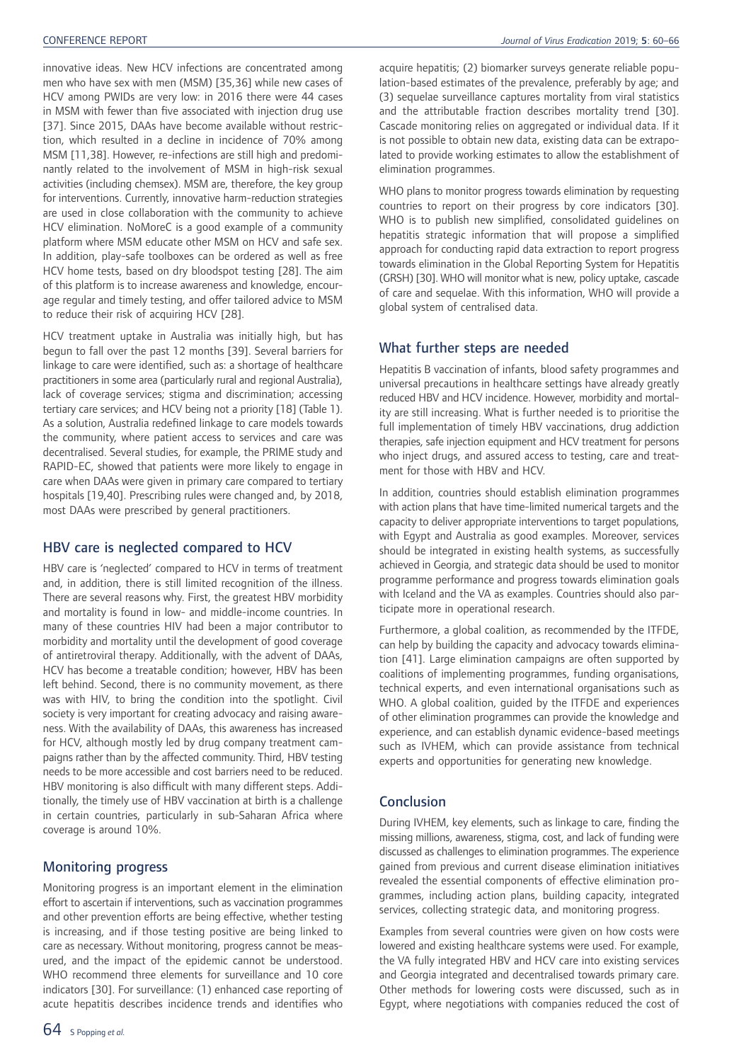innovative ideas. New HCV infections are concentrated among men who have sex with men (MSM) [35,36] while new cases of HCV among PWIDs are very low: in 2016 there were 44 cases in MSM with fewer than five associated with injection drug use [37]. Since 2015, DAAs have become available without restriction, which resulted in a decline in incidence of 70% among MSM [11,38]. However, re-infections are still high and predominantly related to the involvement of MSM in high-risk sexual activities (including chemsex). MSM are, therefore, the key group for interventions. Currently, innovative harm-reduction strategies are used in close collaboration with the community to achieve HCV elimination. NoMoreC is a good example of a community platform where MSM educate other MSM on HCV and safe sex. In addition, play-safe toolboxes can be ordered as well as free HCV home tests, based on dry bloodspot testing [28]. The aim of this platform is to increase awareness and knowledge, encourage regular and timely testing, and offer tailored advice to MSM to reduce their risk of acquiring HCV [28].

HCV treatment uptake in Australia was initially high, but has begun to fall over the past 12 months [39]. Several barriers for linkage to care were identified, such as: a shortage of healthcare practitioners in some area (particularly rural and regional Australia), lack of coverage services; stigma and discrimination; accessing tertiary care services; and HCV being not a priority [18] (Table 1). As a solution, Australia redefined linkage to care models towards the community, where patient access to services and care was decentralised. Several studies, for example, the PRIME study and RAPID-EC, showed that patients were more likely to engage in care when DAAs were given in primary care compared to tertiary hospitals [19,40]. Prescribing rules were changed and, by 2018, most DAAs were prescribed by general practitioners.

## HBV care is neglected compared to HCV

HBV care is 'neglected' compared to HCV in terms of treatment and, in addition, there is still limited recognition of the illness. There are several reasons why. First, the greatest HBV morbidity and mortality is found in low- and middle-income countries. In many of these countries HIV had been a major contributor to morbidity and mortality until the development of good coverage of antiretroviral therapy. Additionally, with the advent of DAAs, HCV has become a treatable condition; however, HBV has been left behind. Second, there is no community movement, as there was with HIV, to bring the condition into the spotlight. Civil society is very important for creating advocacy and raising awareness. With the availability of DAAs, this awareness has increased for HCV, although mostly led by drug company treatment campaigns rather than by the affected community. Third, HBV testing needs to be more accessible and cost barriers need to be reduced. HBV monitoring is also difficult with many different steps. Additionally, the timely use of HBV vaccination at birth is a challenge in certain countries, particularly in sub-Saharan Africa where coverage is around 10%.

# Monitoring progress

Monitoring progress is an important element in the elimination effort to ascertain if interventions, such as vaccination programmes and other prevention efforts are being effective, whether testing is increasing, and if those testing positive are being linked to care as necessary. Without monitoring, progress cannot be measured, and the impact of the epidemic cannot be understood. WHO recommend three elements for surveillance and 10 core indicators [30]. For surveillance: (1) enhanced case reporting of acute hepatitis describes incidence trends and identifies who

acquire hepatitis; (2) biomarker surveys generate reliable population-based estimates of the prevalence, preferably by age; and (3) sequelae surveillance captures mortality from viral statistics and the attributable fraction describes mortality trend [30]. Cascade monitoring relies on aggregated or individual data. If it is not possible to obtain new data, existing data can be extrapolated to provide working estimates to allow the establishment of elimination programmes.

WHO plans to monitor progress towards elimination by requesting countries to report on their progress by core indicators [30]. WHO is to publish new simplified, consolidated guidelines on hepatitis strategic information that will propose a simplified approach for conducting rapid data extraction to report progress towards elimination in the Global Reporting System for Hepatitis (GRSH) [30]. WHO will monitor what is new, policy uptake, cascade of care and sequelae. With this information, WHO will provide a global system of centralised data.

# What further steps are needed

Hepatitis B vaccination of infants, blood safety programmes and universal precautions in healthcare settings have already greatly reduced HBV and HCV incidence. However, morbidity and mortality are still increasing. What is further needed is to prioritise the full implementation of timely HBV vaccinations, drug addiction therapies, safe injection equipment and HCV treatment for persons who inject drugs, and assured access to testing, care and treatment for those with HBV and HCV.

In addition, countries should establish elimination programmes with action plans that have time-limited numerical targets and the capacity to deliver appropriate interventions to target populations, with Egypt and Australia as good examples. Moreover, services should be integrated in existing health systems, as successfully achieved in Georgia, and strategic data should be used to monitor programme performance and progress towards elimination goals with Iceland and the VA as examples. Countries should also participate more in operational research.

Furthermore, a global coalition, as recommended by the ITFDE, can help by building the capacity and advocacy towards elimination [41]. Large elimination campaigns are often supported by coalitions of implementing programmes, funding organisations, technical experts, and even international organisations such as WHO. A global coalition, guided by the ITFDE and experiences of other elimination programmes can provide the knowledge and experience, and can establish dynamic evidence-based meetings such as IVHEM, which can provide assistance from technical experts and opportunities for generating new knowledge.

# Conclusion

During IVHEM, key elements, such as linkage to care, finding the missing millions, awareness, stigma, cost, and lack of funding were discussed as challenges to elimination programmes. The experience gained from previous and current disease elimination initiatives revealed the essential components of effective elimination programmes, including action plans, building capacity, integrated services, collecting strategic data, and monitoring progress.

Examples from several countries were given on how costs were lowered and existing healthcare systems were used. For example, the VA fully integrated HBV and HCV care into existing services and Georgia integrated and decentralised towards primary care. Other methods for lowering costs were discussed, such as in Egypt, where negotiations with companies reduced the cost of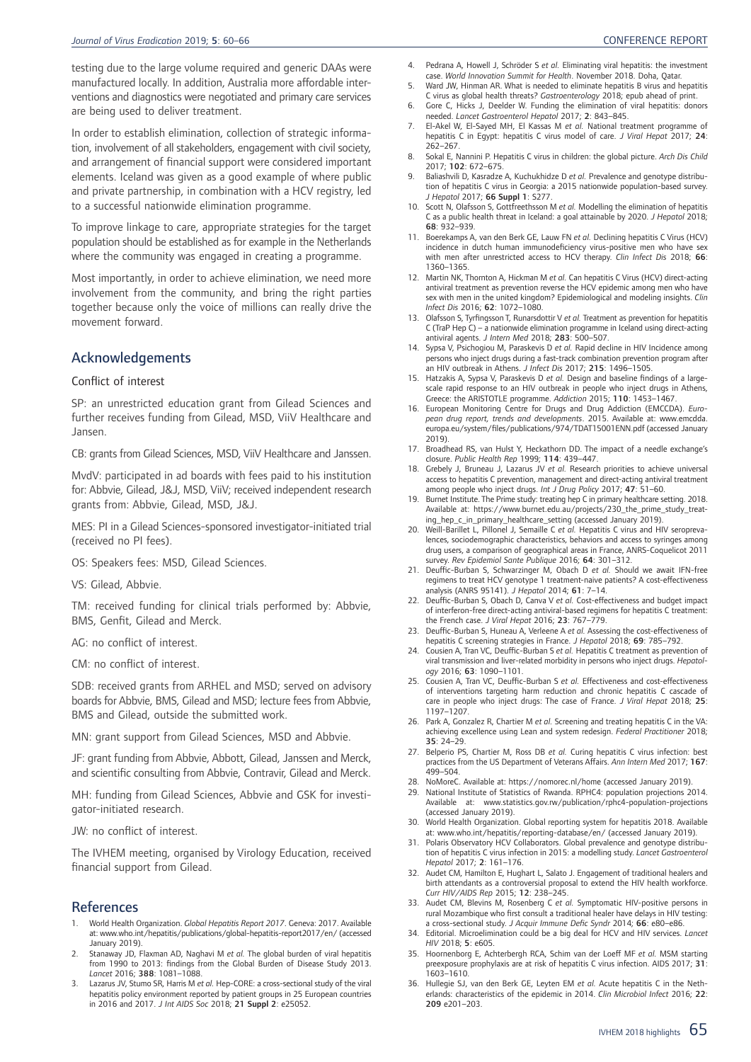testing due to the large volume required and generic DAAs were manufactured locally. In addition, Australia more affordable interventions and diagnostics were negotiated and primary care services are being used to deliver treatment.

In order to establish elimination, collection of strategic information, involvement of all stakeholders, engagement with civil society, and arrangement of financial support were considered important elements. Iceland was given as a good example of where public and private partnership, in combination with a HCV registry, led to a successful nationwide elimination programme.

To improve linkage to care, appropriate strategies for the target population should be established as for example in the Netherlands where the community was engaged in creating a programme.

Most importantly, in order to achieve elimination, we need more involvement from the community, and bring the right parties together because only the voice of millions can really drive the movement forward.

# Acknowledgements

### Conflict of interest

SP: an unrestricted education grant from Gilead Sciences and further receives funding from Gilead, MSD, ViiV Healthcare and Jansen.

CB: grants from Gilead Sciences, MSD, ViiV Healthcare and Janssen.

MvdV: participated in ad boards with fees paid to his institution for: Abbvie, Gilead, J&J, MSD, ViiV; received independent research grants from: Abbvie, Gilead, MSD, J&J.

MES: PI in a Gilead Sciences-sponsored investigator-initiated trial (received no PI fees).

OS: Speakers fees: MSD, Gilead Sciences.

VS: Gilead, Abbvie.

TM: received funding for clinical trials performed by: Abbvie, BMS, Genfit, Gilead and Merck.

AG: no conflict of interest.

CM: no conflict of interest.

SDB: received grants from ARHEL and MSD; served on advisory boards for Abbvie, BMS, Gilead and MSD; lecture fees from Abbvie, BMS and Gilead, outside the submitted work.

MN: grant support from Gilead Sciences, MSD and Abbvie.

JF: grant funding from Abbvie, Abbott, Gilead, Janssen and Merck, and scientific consulting from Abbvie, Contravir, Gilead and Merck.

MH: funding from Gilead Sciences, Abbvie and GSK for investigator-initiated research.

JW: no conflict of interest.

The IVHEM meeting, organised by Virology Education, received financial support from Gilead.

## **References**

- 1. World Health Organization. *Global Hepatitis Report 2017*. Geneva: 2017. Available at: www.who.int/hepatitis/publications/global-hepatitis-report2017/en/ (accessed January 2019).
- 2. Stanaway JD, Flaxman AD, Naghavi M *et al.* The global burden of viral hepatitis from 1990 to 2013: findings from the Global Burden of Disease Study 2013. *Lancet* 2016; 388: 1081–1088.
- 3. Lazarus JV, Stumo SR, Harris M *et al.* Hep-CORE: a cross-sectional study of the viral hepatitis policy environment reported by patient groups in 25 European countries in 2016 and 2017. *J Int AIDS Soc* 2018; 21 Suppl 2: e25052.
- 4. Pedrana A, Howell J, Schröder S *et al.* Eliminating viral hepatitis: the investment case. *World Innovation Summit for Health*. November 2018. Doha, Qatar.
- 5. Ward JW, Hinman AR. What is needed to eliminate hepatitis B virus and hepatitis
- C virus as global health threats? *Gastroenterology* 2018; epub ahead of print. 6. Gore C, Hicks J, Deelder W. Funding the elimination of viral hepatitis: donors needed. *Lancet Gastroenterol Hepatol* 2017; 2: 843–845.
- 7. El-Akel W, El-Sayed MH, El Kassas M *et al.* National treatment programme of hepatitis C in Egypt: hepatitis C virus model of care. *J Viral Hepat* 2017; 24: 262–267.
- 8. Sokal E, Nannini P. Hepatitis C virus in children: the global picture. *Arch Dis Child* 2017; 102: 672–675.
- 9. Baliashvili D, Kasradze A, Kuchukhidze D *et al.* Prevalence and genotype distribution of hepatitis C virus in Georgia: a 2015 nationwide population-based survey. *J Hepatol* 2017; 66 Suppl 1: S277.
- 10. Scott N, Olafsson S, Gottfreethsson M *et al.* Modelling the elimination of hepatitis C as a public health threat in Iceland: a goal attainable by 2020. *J Hepatol* 2018; 68: 932–939.
- 11. Boerekamps A, van den Berk GE, Lauw FN *et al.* Declining hepatitis C Virus (HCV) incidence in dutch human immunodeficiency virus-positive men who have sex with men after unrestricted access to HCV therapy. *Clin Infect Dis* 2018; 66: 1360–1365.
- 12. Martin NK, Thornton A, Hickman M *et al.* Can hepatitis C Virus (HCV) direct-acting antiviral treatment as prevention reverse the HCV epidemic among men who have sex with men in the united kingdom? Epidemiological and modeling insights. *Clin Infect Dis* 2016; 62: 1072–1080.
- 13. Olafsson S, Tyrfingsson T, Runarsdottir V *et al.* Treatment as prevention for hepatitis C (TraP Hep C) – a nationwide elimination programme in Iceland using direct-acting antiviral agents. *J Intern Med* 2018; 283: 500–507.
- 14. Sypsa V, Psichogiou M, Paraskevis D *et al.* Rapid decline in HIV Incidence among persons who inject drugs during a fast-track combination prevention program after an HIV outbreak in Athens. *J Infect Dis* 2017; 215: 1496–1505.
- 15. Hatzakis A, Sypsa V, Paraskevis D *et al.* Design and baseline findings of a largescale rapid response to an HIV outbreak in people who inject drugs in Athens, Greece: the ARISTOTLE programme. *Addiction* 2015; 110: 1453–1467.
- 16. European Monitoring Centre for Drugs and Drug Addiction (EMCCDA). *European drug report, trends and developments*. 2015. Available at: www.emcdda. europa.eu/system/files/publications/974/TDAT15001ENN.pdf (accessed January 2019).
- 17. Broadhead RS, van Hulst Y, Heckathorn DD. The impact of a needle exchange's closure. *Public Health Rep* 1999; 114: 439–447.
- 18. Grebely J, Bruneau J, Lazarus JV *et al.* Research priorities to achieve universal access to hepatitis C prevention, management and direct-acting antiviral treatment among people who inject drugs. *Int J Drug Policy* 2017; 47: 51–60.
- 19. Burnet Institute. The Prime study: treating hep C in primary healthcare setting. 2018. Available at: https://www.burnet.edu.au/projects/230\_the\_prime\_study\_treating\_hep\_c\_in\_primary\_healthcare\_setting (accessed January 2019).
- 20. Weill-Barillet L, Pillonel J, Semaille C *et al.* Hepatitis C virus and HIV seroprevalences, sociodemographic characteristics, behaviors and access to syringes among drug users, a comparison of geographical areas in France, ANRS-Coquelicot 2011 survey. *Rev Epidemiol Sante Publique* 2016; 64: 301–312.
- 21. Deuffic-Burban S, Schwarzinger M, Obach D *et al.* Should we await IFN-free regimens to treat HCV genotype 1 treatment-naive patients? A cost-effectiveness analysis (ANRS 95141). *J Hepatol* 2014; 61: 7–14.
- 22. Deuffic-Burban S, Obach D, Canva V *et al.* Cost-effectiveness and budget impact of interferon-free direct-acting antiviral-based regimens for hepatitis C treatment: the French case. *J Viral Hepat* 2016; 23: 767–779.
- 23. Deuffic-Burban S, Huneau A, Verleene A *et al.* Assessing the cost-effectiveness of hepatitis C screening strategies in France. *J Hepatol* 2018; 69: 785–792.
- 24. Cousien A, Tran VC, Deuffic-Burban S *et al.* Hepatitis C treatment as prevention of viral transmission and liver-related morbidity in persons who inject drugs. *Hepatology* 2016; 63: 1090–1101.
- 25. Cousien A, Tran VC, Deuffic-Burban S *et al.* Effectiveness and cost-effectiveness of interventions targeting harm reduction and chronic hepatitis C cascade of care in people who inject drugs: The case of France. *J Viral Hepat* 2018; 25: 1197–1207.
- 26. Park A, Gonzalez R, Chartier M *et al.* Screening and treating hepatitis C in the VA: achieving excellence using Lean and system redesign. *Federal Practitioner* 2018; 35: 24–29.
- 27. Belperio PS, Chartier M, Ross DB *et al.* Curing hepatitis C virus infection: best practices from the US Department of Veterans Affairs. *Ann Intern Med* 2017; 167: 499–504.
- 28. NoMoreC. Available at: https://nomorec.nl/home (accessed January 2019).
- 29. National Institute of Statistics of Rwanda. RPHC4: population projections 2014. Available at: www.statistics.gov.rw/publication/rphc4-population-projections (accessed January 2019).
- 30. World Health Organization. Global reporting system for hepatitis 2018. Available at: www.who.int/hepatitis/reporting-database/en/ (accessed January 2019).
- 31. Polaris Observatory HCV Collaborators. Global prevalence and genotype distribution of hepatitis C virus infection in 2015: a modelling study. *Lancet Gastroenterol Hepatol* 2017; 2: 161–176.
- 32. Audet CM, Hamilton E, Hughart L, Salato J. Engagement of traditional healers and birth attendants as a controversial proposal to extend the HIV health workforce. *Curr HIV/AIDS Rep* 2015; 12: 238–245.
- 33. Audet CM, Blevins M, Rosenberg C *et al.* Symptomatic HIV-positive persons in rural Mozambique who first consult a traditional healer have delays in HIV testing: a cross-sectional study. *J Acquir Immune Defic Syndr* 2014; 66: e80–e86.
- 34. Editorial. Microelimination could be a big deal for HCV and HIV services. *Lancet HIV* 2018; 5: e605.
- 35. Hoornenborg E, Achterbergh RCA, Schim van der Loeff MF *et al.* MSM starting preexposure prophylaxis are at risk of hepatitis C virus infection. AIDS 2017; 31: 1603–1610.
- 36. Hullegie SJ, van den Berk GE, Leyten EM *et al.* Acute hepatitis C in the Netherlands: characteristics of the epidemic in 2014. *Clin Microbiol Infect* 2016; 22: 209 e201–203.